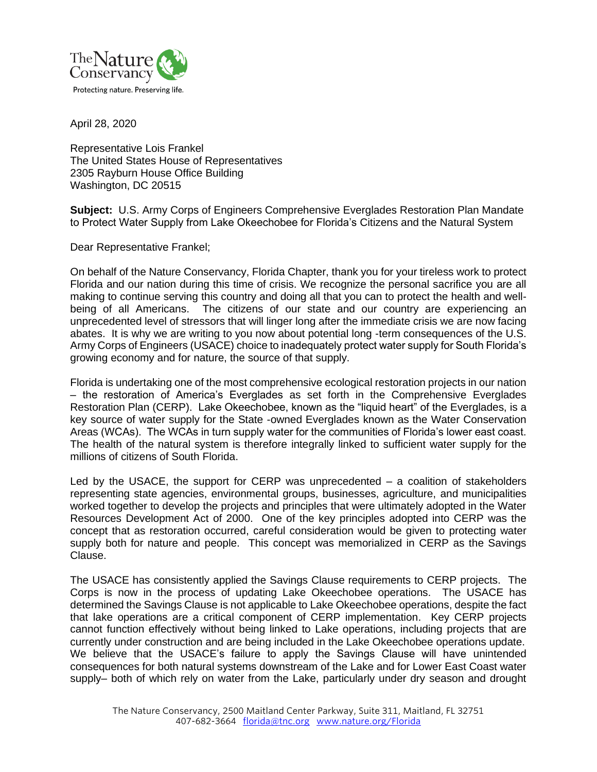

April 28, 2020

Representative Lois Frankel The United States House of Representatives 2305 Rayburn House Office Building Washington, DC 20515

**Subject:** U.S. Army Corps of Engineers Comprehensive Everglades Restoration Plan Mandate to Protect Water Supply from Lake Okeechobee for Florida's Citizens and the Natural System

Dear Representative Frankel;

On behalf of the Nature Conservancy, Florida Chapter, thank you for your tireless work to protect Florida and our nation during this time of crisis. We recognize the personal sacrifice you are all making to continue serving this country and doing all that you can to protect the health and wellbeing of all Americans. The citizens of our state and our country are experiencing an unprecedented level of stressors that will linger long after the immediate crisis we are now facing abates. It is why we are writing to you now about potential long -term consequences of the U.S. Army Corps of Engineers (USACE) choice to inadequately protect water supply for South Florida's growing economy and for nature, the source of that supply.

Florida is undertaking one of the most comprehensive ecological restoration projects in our nation – the restoration of America's Everglades as set forth in the Comprehensive Everglades Restoration Plan (CERP). Lake Okeechobee, known as the "liquid heart" of the Everglades, is a key source of water supply for the State -owned Everglades known as the Water Conservation Areas (WCAs). The WCAs in turn supply water for the communities of Florida's lower east coast. The health of the natural system is therefore integrally linked to sufficient water supply for the millions of citizens of South Florida.

Led by the USACE, the support for CERP was unprecedented  $-$  a coalition of stakeholders representing state agencies, environmental groups, businesses, agriculture, and municipalities worked together to develop the projects and principles that were ultimately adopted in the Water Resources Development Act of 2000. One of the key principles adopted into CERP was the concept that as restoration occurred, careful consideration would be given to protecting water supply both for nature and people. This concept was memorialized in CERP as the Savings Clause.

The USACE has consistently applied the Savings Clause requirements to CERP projects. The Corps is now in the process of updating Lake Okeechobee operations. The USACE has determined the Savings Clause is not applicable to Lake Okeechobee operations, despite the fact that lake operations are a critical component of CERP implementation. Key CERP projects cannot function effectively without being linked to Lake operations, including projects that are currently under construction and are being included in the Lake Okeechobee operations update. We believe that the USACE's failure to apply the Savings Clause will have unintended consequences for both natural systems downstream of the Lake and for Lower East Coast water supply– both of which rely on water from the Lake, particularly under dry season and drought